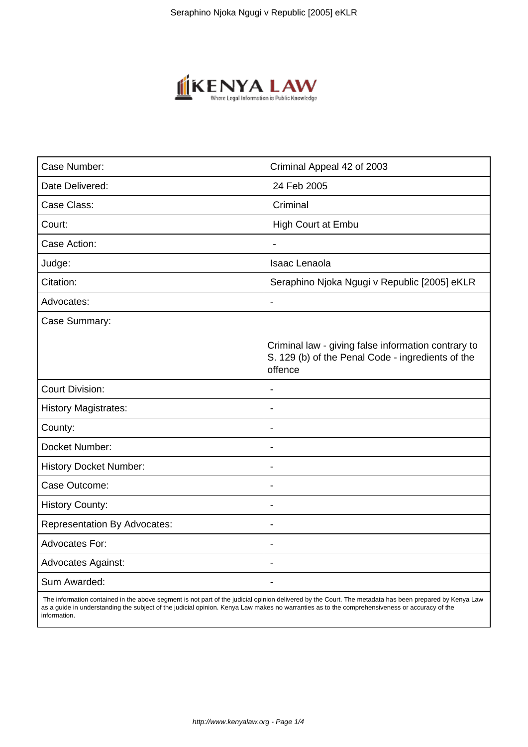

| Case Number:                        | Criminal Appeal 42 of 2003                                                                                          |
|-------------------------------------|---------------------------------------------------------------------------------------------------------------------|
| Date Delivered:                     | 24 Feb 2005                                                                                                         |
| Case Class:                         | Criminal                                                                                                            |
| Court:                              | High Court at Embu                                                                                                  |
| Case Action:                        |                                                                                                                     |
| Judge:                              | Isaac Lenaola                                                                                                       |
| Citation:                           | Seraphino Njoka Ngugi v Republic [2005] eKLR                                                                        |
| Advocates:                          |                                                                                                                     |
| Case Summary:                       |                                                                                                                     |
|                                     | Criminal law - giving false information contrary to<br>S. 129 (b) of the Penal Code - ingredients of the<br>offence |
| <b>Court Division:</b>              |                                                                                                                     |
| <b>History Magistrates:</b>         |                                                                                                                     |
| County:                             | $\blacksquare$                                                                                                      |
| Docket Number:                      |                                                                                                                     |
| <b>History Docket Number:</b>       |                                                                                                                     |
| Case Outcome:                       | $\blacksquare$                                                                                                      |
| <b>History County:</b>              | $\overline{\phantom{a}}$                                                                                            |
| <b>Representation By Advocates:</b> | $\blacksquare$                                                                                                      |
| Advocates For:                      |                                                                                                                     |
| <b>Advocates Against:</b>           |                                                                                                                     |
| Sum Awarded:                        |                                                                                                                     |

 The information contained in the above segment is not part of the judicial opinion delivered by the Court. The metadata has been prepared by Kenya Law as a guide in understanding the subject of the judicial opinion. Kenya Law makes no warranties as to the comprehensiveness or accuracy of the information.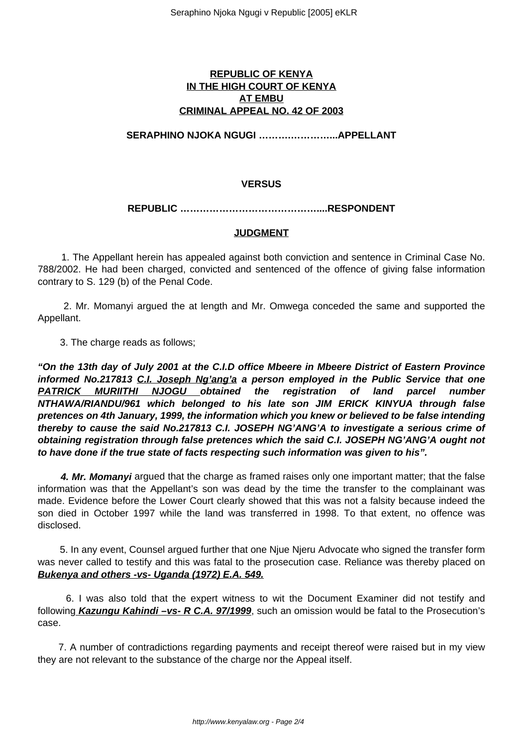### **REPUBLIC OF KENYA IN THE HIGH COURT OF KENYA AT EMBU CRIMINAL APPEAL NO. 42 OF 2003**

**SERAPHINO NJOKA NGUGI ……….…………...APPELLANT**

# **VERSUS**

#### **REPUBLIC ……………………………………....RESPONDENT**

## **JUDGMENT**

 1. The Appellant herein has appealed against both conviction and sentence in Criminal Case No. 788/2002. He had been charged, convicted and sentenced of the offence of giving false information contrary to S. 129 (b) of the Penal Code.

 2. Mr. Momanyi argued the at length and Mr. Omwega conceded the same and supported the Appellant.

3. The charge reads as follows;

**"On the 13th day of July 2001 at the C.I.D office Mbeere in Mbeere District of Eastern Province informed No.217813 C.I. Joseph Ng'ang'a a person employed in the Public Service that one PATRICK MURIITHI NJOGU obtained the registration of land parcel number NTHAWA/RIANDU/961 which belonged to his late son JIM ERICK KINYUA through false pretences on 4th January, 1999, the information which you knew or believed to be false intending thereby to cause the said No.217813 C.I. JOSEPH NG'ANG'A to investigate a serious crime of obtaining registration through false pretences which the said C.I. JOSEPH NG'ANG'A ought not to have done if the true state of facts respecting such information was given to his".**

 **4. Mr. Momanyi** argued that the charge as framed raises only one important matter; that the false information was that the Appellant's son was dead by the time the transfer to the complainant was made. Evidence before the Lower Court clearly showed that this was not a falsity because indeed the son died in October 1997 while the land was transferred in 1998. To that extent, no offence was disclosed.

 5. In any event, Counsel argued further that one Njue Njeru Advocate who signed the transfer form was never called to testify and this was fatal to the prosecution case. Reliance was thereby placed on **Bukenya and others -vs- Uganda (1972) E.A. 549.**

 6. I was also told that the expert witness to wit the Document Examiner did not testify and following **Kazungu Kahindi –vs- R C.A. 97/1999**, such an omission would be fatal to the Prosecution's case.

 7. A number of contradictions regarding payments and receipt thereof were raised but in my view they are not relevant to the substance of the charge nor the Appeal itself.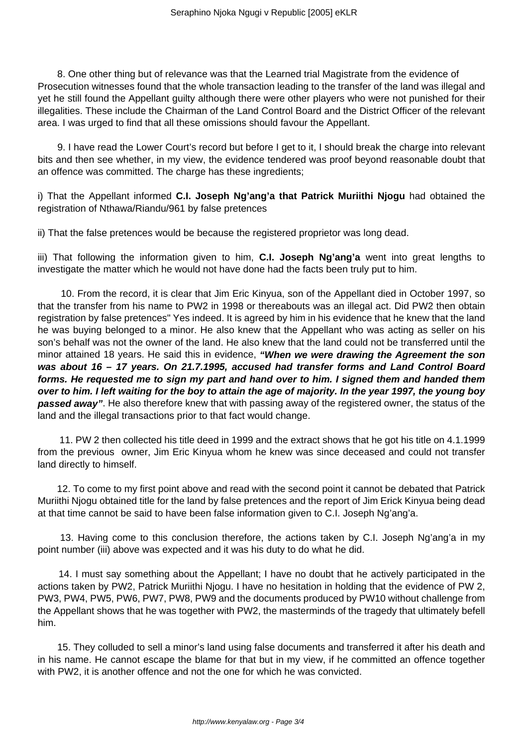8. One other thing but of relevance was that the Learned trial Magistrate from the evidence of Prosecution witnesses found that the whole transaction leading to the transfer of the land was illegal and yet he still found the Appellant guilty although there were other players who were not punished for their illegalities. These include the Chairman of the Land Control Board and the District Officer of the relevant area. I was urged to find that all these omissions should favour the Appellant.

 9. I have read the Lower Court's record but before I get to it, I should break the charge into relevant bits and then see whether, in my view, the evidence tendered was proof beyond reasonable doubt that an offence was committed. The charge has these ingredients;

i) That the Appellant informed **C.I. Joseph Ng'ang'a that Patrick Muriithi Njogu** had obtained the registration of Nthawa/Riandu/961 by false pretences

ii) That the false pretences would be because the registered proprietor was long dead.

iii) That following the information given to him, **C.I. Joseph Ng'ang'a** went into great lengths to investigate the matter which he would not have done had the facts been truly put to him.

 10. From the record, it is clear that Jim Eric Kinyua, son of the Appellant died in October 1997, so that the transfer from his name to PW2 in 1998 or thereabouts was an illegal act. Did PW2 then obtain registration by false pretences" Yes indeed. It is agreed by him in his evidence that he knew that the land he was buying belonged to a minor. He also knew that the Appellant who was acting as seller on his son's behalf was not the owner of the land. He also knew that the land could not be transferred until the minor attained 18 years. He said this in evidence, **"When we were drawing the Agreement the son was about 16 – 17 years. On 21.7.1995, accused had transfer forms and Land Control Board forms. He requested me to sign my part and hand over to him. I signed them and handed them over to him. I left waiting for the boy to attain the age of majority. In the year 1997, the young boy passed away"**. He also therefore knew that with passing away of the registered owner, the status of the land and the illegal transactions prior to that fact would change.

 11. PW 2 then collected his title deed in 1999 and the extract shows that he got his title on 4.1.1999 from the previous owner, Jim Eric Kinyua whom he knew was since deceased and could not transfer land directly to himself.

 12. To come to my first point above and read with the second point it cannot be debated that Patrick Muriithi Njogu obtained title for the land by false pretences and the report of Jim Erick Kinyua being dead at that time cannot be said to have been false information given to C.I. Joseph Ng'ang'a.

 13. Having come to this conclusion therefore, the actions taken by C.I. Joseph Ng'ang'a in my point number (iii) above was expected and it was his duty to do what he did.

 14. I must say something about the Appellant; I have no doubt that he actively participated in the actions taken by PW2, Patrick Muriithi Njogu. I have no hesitation in holding that the evidence of PW 2, PW3, PW4, PW5, PW6, PW7, PW8, PW9 and the documents produced by PW10 without challenge from the Appellant shows that he was together with PW2, the masterminds of the tragedy that ultimately befell him.

 15. They colluded to sell a minor's land using false documents and transferred it after his death and in his name. He cannot escape the blame for that but in my view, if he committed an offence together with PW2, it is another offence and not the one for which he was convicted.